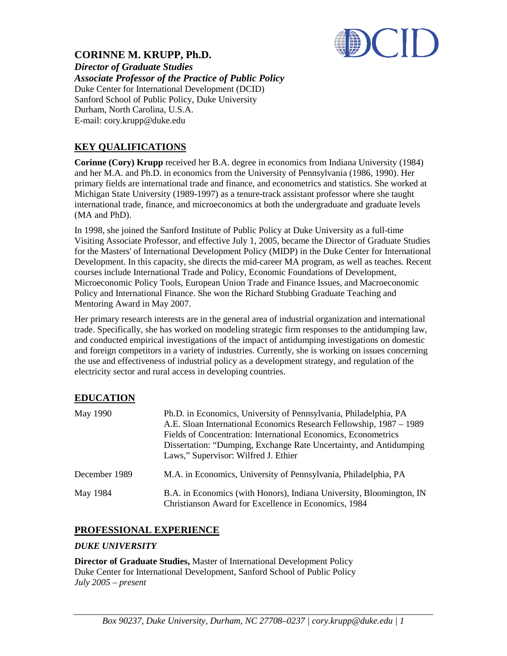

# **CORINNE M. KRUPP, Ph.D.**

*Director of Graduate Studies Associate Professor of the Practice of Public Policy* Duke Center for International Development (DCID) Sanford School of Public Policy, Duke University Durham, North Carolina, U.S.A. E-mail: cory.krupp@duke.edu

# **KEY QUALIFICATIONS**

**Corinne (Cory) Krupp** received her B.A. degree in economics from Indiana University (1984) and her M.A. and Ph.D. in economics from the University of Pennsylvania (1986, 1990). Her primary fields are international trade and finance, and econometrics and statistics. She worked at Michigan State University (1989-1997) as a tenure-track assistant professor where she taught international trade, finance, and microeconomics at both the undergraduate and graduate levels (MA and PhD).

In 1998, she joined the Sanford Institute of Public Policy at Duke University as a full-time Visiting Associate Professor, and effective July 1, 2005, became the Director of Graduate Studies for the Masters' of International Development Policy (MIDP) in the Duke Center for International Development. In this capacity, she directs the mid-career MA program, as well as teaches. Recent courses include International Trade and Policy, Economic Foundations of Development, Microeconomic Policy Tools, European Union Trade and Finance Issues, and Macroeconomic Policy and International Finance. She won the Richard Stubbing Graduate Teaching and Mentoring Award in May 2007.

Her primary research interests are in the general area of industrial organization and international trade. Specifically, she has worked on modeling strategic firm responses to the antidumping law, and conducted empirical investigations of the impact of antidumping investigations on domestic and foreign competitors in a variety of industries. Currently, she is working on issues concerning the use and effectiveness of industrial policy as a development strategy, and regulation of the electricity sector and rural access in developing countries.

# **EDUCATION**

| May 1990      | Ph.D. in Economics, University of Pennsylvania, Philadelphia, PA<br>A.E. Sloan International Economics Research Fellowship, 1987 – 1989<br>Fields of Concentration: International Economics, Econometrics<br>Dissertation: "Dumping, Exchange Rate Uncertainty, and Antidumping<br>Laws," Supervisor: Wilfred J. Ethier |
|---------------|-------------------------------------------------------------------------------------------------------------------------------------------------------------------------------------------------------------------------------------------------------------------------------------------------------------------------|
| December 1989 | M.A. in Economics, University of Pennsylvania, Philadelphia, PA                                                                                                                                                                                                                                                         |
| May 1984      | B.A. in Economics (with Honors), Indiana University, Bloomington, IN<br>Christianson Award for Excellence in Economics, 1984                                                                                                                                                                                            |

# **PROFESSIONAL EXPERIENCE**

### *DUKE UNIVERSITY*

**Director of Graduate Studies,** Master of International Development Policy Duke Center for International Development, Sanford School of Public Policy *July 2005 – present*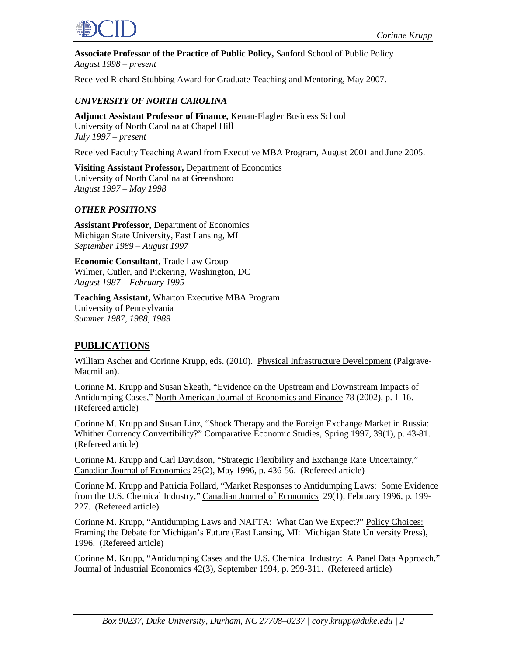

**Associate Professor of the Practice of Public Policy,** Sanford School of Public Policy *August 1998 – present*

Received Richard Stubbing Award for Graduate Teaching and Mentoring, May 2007.

### *UNIVERSITY OF NORTH CAROLINA*

**Adjunct Assistant Professor of Finance,** Kenan-Flagler Business School University of North Carolina at Chapel Hill *July 1997 – present*

Received Faculty Teaching Award from Executive MBA Program, August 2001 and June 2005.

**Visiting Assistant Professor,** Department of Economics University of North Carolina at Greensboro *August 1997 – May 1998*

#### *OTHER POSITIONS*

**Assistant Professor,** Department of Economics Michigan State University, East Lansing, MI *September 1989 – August 1997*

**Economic Consultant,** Trade Law Group Wilmer, Cutler, and Pickering, Washington, DC *August 1987 – February 1995*

**Teaching Assistant,** Wharton Executive MBA Program University of Pennsylvania *Summer 1987, 1988, 1989*

### **PUBLICATIONS**

William Ascher and Corinne Krupp, eds. (2010). Physical Infrastructure Development (Palgrave-Macmillan).

Corinne M. Krupp and Susan Skeath, "Evidence on the Upstream and Downstream Impacts of Antidumping Cases," North American Journal of Economics and Finance 78 (2002), p. 1-16. (Refereed article)

Corinne M. Krupp and Susan Linz, "Shock Therapy and the Foreign Exchange Market in Russia: Whither Currency Convertibility?" Comparative Economic Studies, Spring 1997, 39(1), p. 43-81. (Refereed article)

Corinne M. Krupp and Carl Davidson, "Strategic Flexibility and Exchange Rate Uncertainty," Canadian Journal of Economics 29(2), May 1996, p. 436-56. (Refereed article)

Corinne M. Krupp and Patricia Pollard, "Market Responses to Antidumping Laws: Some Evidence from the U.S. Chemical Industry," Canadian Journal of Economics 29(1), February 1996, p. 199-227. (Refereed article)

Corinne M. Krupp, "Antidumping Laws and NAFTA: What Can We Expect?" Policy Choices: Framing the Debate for Michigan's Future (East Lansing, MI: Michigan State University Press), 1996. (Refereed article)

Corinne M. Krupp, "Antidumping Cases and the U.S. Chemical Industry: A Panel Data Approach," Journal of Industrial Economics 42(3), September 1994, p. 299-311. (Refereed article)